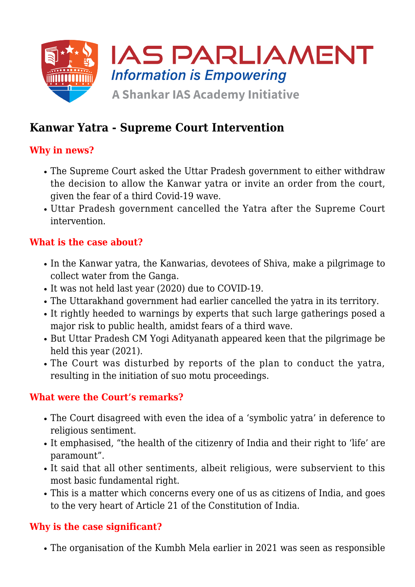

# **Kanwar Yatra - Supreme Court Intervention**

## **Why in news?**

- The Supreme Court asked the Uttar Pradesh government to either withdraw the decision to allow the Kanwar yatra or invite an order from the court, given the fear of a third Covid-19 wave.
- Uttar Pradesh government cancelled the Yatra after the Supreme Court intervention.

## **What is the case about?**

- In the Kanwar yatra, the Kanwarias, devotees of Shiva, make a pilgrimage to collect water from the Ganga.
- It was not held last year (2020) due to COVID-19.
- The Uttarakhand government had earlier cancelled the yatra in its territory.
- It rightly heeded to warnings by experts that such large gatherings posed a major risk to public health, amidst fears of a third wave.
- But Uttar Pradesh CM Yogi Adityanath appeared keen that the pilgrimage be held this year (2021).
- The Court was disturbed by reports of the plan to conduct the yatra, resulting in the initiation of suo motu proceedings.

## **What were the Court's remarks?**

- The Court disagreed with even the idea of a 'symbolic yatra' in deference to religious sentiment.
- It emphasised, "the health of the citizenry of India and their right to 'life' are paramount".
- It said that all other sentiments, albeit religious, were subservient to this most basic fundamental right.
- This is a matter which concerns every one of us as citizens of India, and goes to the very heart of Article 21 of the Constitution of India.

## **Why is the case significant?**

The organisation of the Kumbh Mela earlier in 2021 was seen as responsible